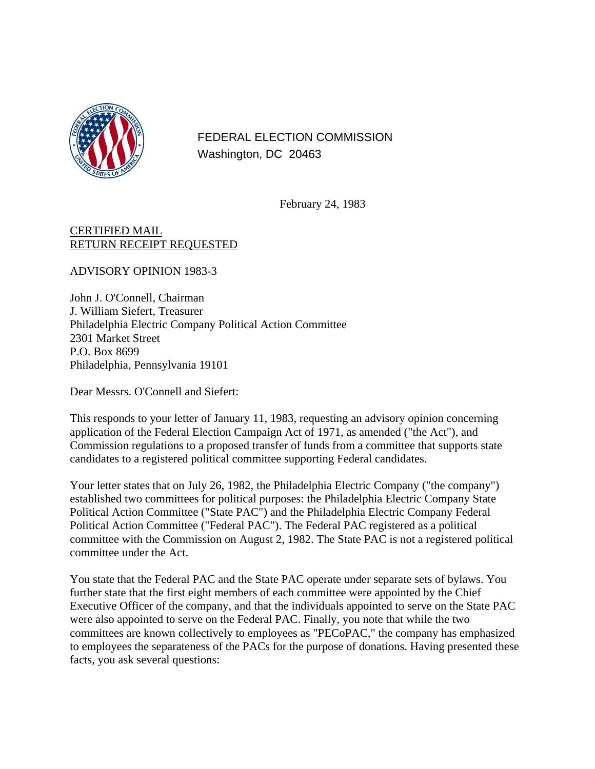

FEDERAL ELECTION COMMISSION Washington, DC 20463

February 24, 1983

## CERTIFIED MAIL RETURN RECEIPT REQUESTED

ADVISORY OPINION 1983-3

John J. O'Connell, Chairman J. William Siefert, Treasurer Philadelphia Electric Company Political Action Committee 2301 Market Street P.O. Box 8699 Philadelphia, Pennsylvania 19101

Dear Messrs. O'Connell and Siefert:

This responds to your letter of January 11, 1983, requesting an advisory opinion concerning application of the Federal Election Campaign Act of 1971, as amended ("the Act"), and Commission regulations to a proposed transfer of funds from a committee that supports state candidates to a registered political committee supporting Federal candidates.

Your letter states that on July 26, 1982, the Philadelphia Electric Company ("the company") established two committees for political purposes: the Philadelphia Electric Company State Political Action Committee ("State PAC") and the Philadelphia Electric Company Federal Political Action Committee ("Federal PAC"). The Federal PAC registered as a political committee with the Commission on August 2, 1982. The State PAC is not a registered political committee under the Act.

You state that the Federal PAC and the State PAC operate under separate sets of bylaws. You further state that the first eight members of each committee were appointed by the Chief Executive Officer of the company, and that the individuals appointed to serve on the State PAC were also appointed to serve on the Federal PAC. Finally, you note that while the two committees are known collectively to employees as "PECoPAC," the company has emphasized to employees the separateness of the PACs for the purpose of donations. Having presented these facts, you ask several questions: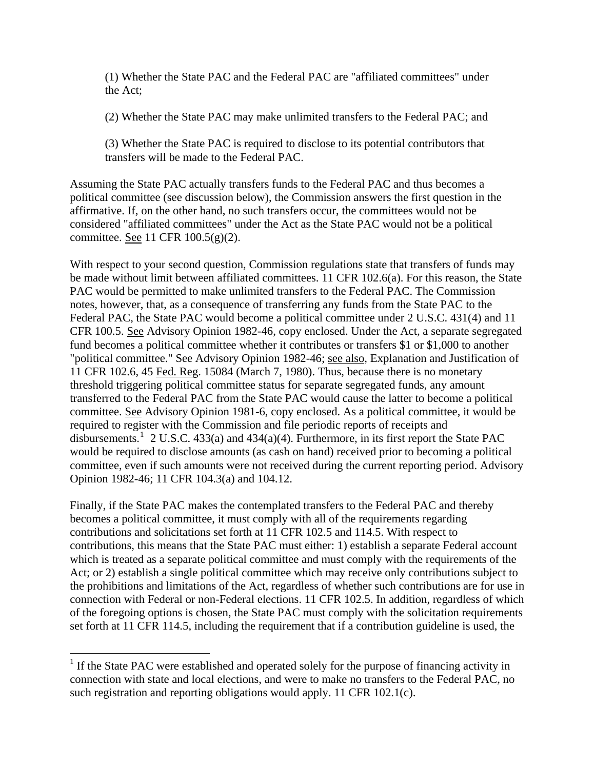<span id="page-1-0"></span>(1) Whether the State PAC and the Federal PAC are "affiliated committees" under the Act;

(2) Whether the State PAC may make unlimited transfers to the Federal PAC; and

(3) Whether the State PAC is required to disclose to its potential contributors that transfers will be made to the Federal PAC.

Assuming the State PAC actually transfers funds to the Federal PAC and thus becomes a political committee (see discussion below), the Commission answers the first question in the affirmative. If, on the other hand, no such transfers occur, the committees would not be considered "affiliated committees" under the Act as the State PAC would not be a political committee. See 11 CFR 100.5(g)(2).

With respect to your second question, Commission regulations state that transfers of funds may be made without limit between affiliated committees. 11 CFR 102.6(a). For this reason, the State PAC would be permitted to make unlimited transfers to the Federal PAC. The Commission notes, however, that, as a consequence of transferring any funds from the State PAC to the Federal PAC, the State PAC would become a political committee under 2 U.S.C. 431(4) and 11 CFR 100.5. See Advisory Opinion 1982-46, copy enclosed. Under the Act, a separate segregated fund becomes a political committee whether it contributes or transfers \$1 or \$1,000 to another "political committee." See Advisory Opinion 1982-46; see also, Explanation and Justification of 11 CFR 102.6, 45 Fed. Reg. 15084 (March 7, 1980). Thus, because there is no monetary threshold triggering political committee status for separate segregated funds, any amount transferred to the Federal PAC from the State PAC would cause the latter to become a political committee. See Advisory Opinion 1981-6, copy enclosed. As a political committee, it would be required to register with the Commission and file periodic reports of receipts and disbursements.<sup>[1](#page-1-0)</sup> 2 U.S.C. 433(a) and 434(a)(4). Furthermore, in its first report the State PAC would be required to disclose amounts (as cash on hand) received prior to becoming a political committee, even if such amounts were not received during the current reporting period. Advisory Opinion 1982-46; 11 CFR 104.3(a) and 104.12.

Finally, if the State PAC makes the contemplated transfers to the Federal PAC and thereby becomes a political committee, it must comply with all of the requirements regarding contributions and solicitations set forth at 11 CFR 102.5 and 114.5. With respect to contributions, this means that the State PAC must either: 1) establish a separate Federal account which is treated as a separate political committee and must comply with the requirements of the Act; or 2) establish a single political committee which may receive only contributions subject to the prohibitions and limitations of the Act, regardless of whether such contributions are for use in connection with Federal or non-Federal elections. 11 CFR 102.5. In addition, regardless of which of the foregoing options is chosen, the State PAC must comply with the solicitation requirements set forth at 11 CFR 114.5, including the requirement that if a contribution guideline is used, the

 $\overline{a}$ 

<sup>&</sup>lt;sup>1</sup> If the State PAC were established and operated solely for the purpose of financing activity in connection with state and local elections, and were to make no transfers to the Federal PAC, no such registration and reporting obligations would apply. 11 CFR 102.1(c).